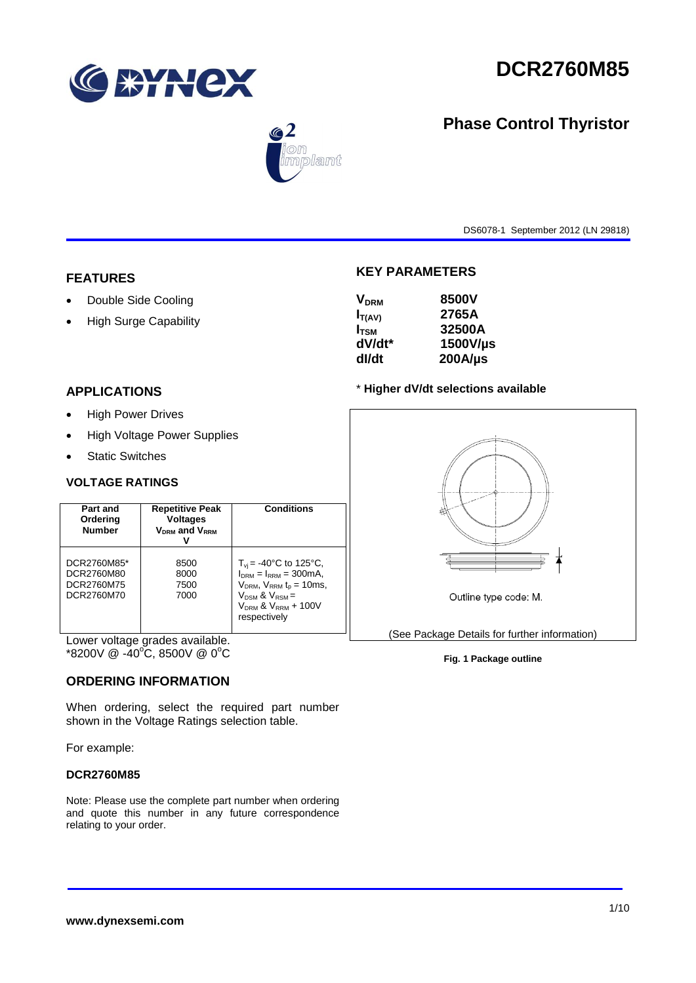



# $\circledast$ mplant

DS6078-1 September 2012 (LN 29818)

**Phase Control Thyristor**

## **FEATURES**

- Double Side Cooling
- High Surge Capability

## **APPLICATIONS**

- High Power Drives
- High Voltage Power Supplies
- Static Switches

#### **VOLTAGE RATINGS**

| Part and<br>Ordering<br><b>Number</b>                 | <b>Repetitive Peak</b><br><b>Voltages</b><br><b>VDRM</b> and VRRM | <b>Conditions</b>                                                                                                                                                            |
|-------------------------------------------------------|-------------------------------------------------------------------|------------------------------------------------------------------------------------------------------------------------------------------------------------------------------|
| DCR2760M85*<br>DCR2760M80<br>DCR2760M75<br>DCR2760M70 | 8500<br>8000<br>7500<br>7000                                      | $T_{\rm vi}$ = -40°C to 125°C,<br>$IDRM = IRRM = 300mA,$<br>$V_{DRM}$ , $V_{RRM}$ $t_{p}$ = 10ms,<br>$V_{DSM}$ & $V_{RSM}$ =<br>$V_{DRM}$ & $V_{RRM}$ + 100V<br>respectively |

Lower voltage grades available.  $*8200V \ @ \ -40^{\circ}\text{C}, 8500V \ @ \ 0^{\circ}\text{C}$ 

#### **ORDERING INFORMATION**

When ordering, select the required part number shown in the Voltage Ratings selection table.

For example:

#### **DCR2760M85**

Note: Please use the complete part number when ordering and quote this number in any future correspondence relating to your order.

#### **KEY PARAMETERS**

| <b>V<sub>DRM</sub></b> | 8500V        |
|------------------------|--------------|
| $I_{T(AV)}$            | 2765A        |
| $I_{\text{TSM}}$       | 32500A       |
| dV/dt*                 | 1500V/µs     |
| dl/dt                  | $200A/\mu s$ |
|                        |              |

#### \* **Higher dV/dt selections available**



#### **Fig. 1 Package outline**

#### **www.dynexsemi.com**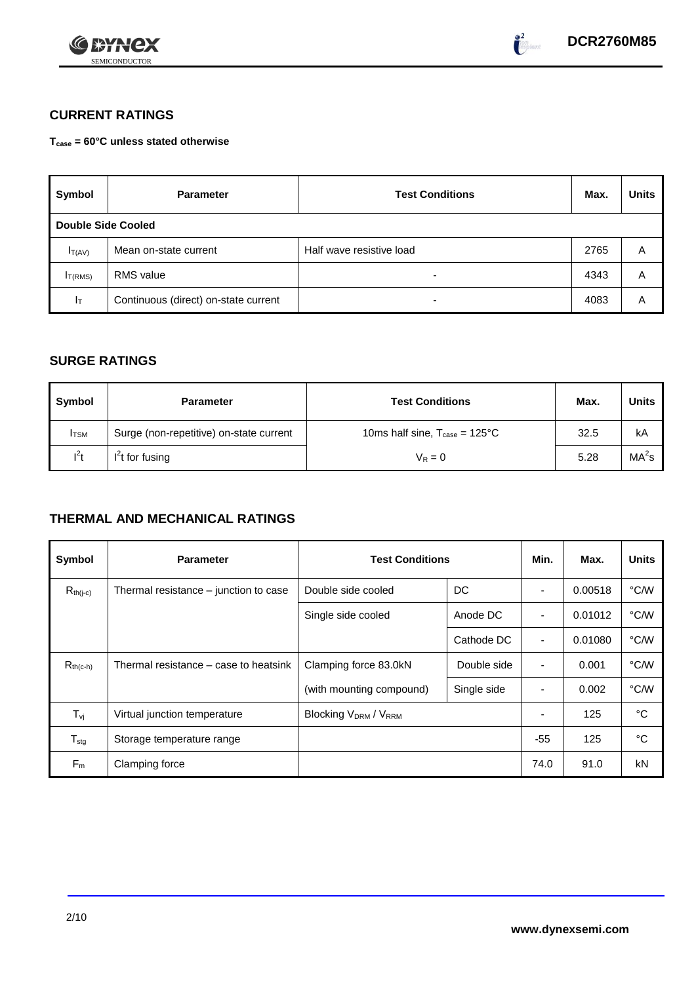



## **CURRENT RATINGS**

**Tcase = 60°C unless stated otherwise**

| Symbol                    | <b>Parameter</b>                     | <b>Test Conditions</b>   | Max. | <b>Units</b> |
|---------------------------|--------------------------------------|--------------------------|------|--------------|
| <b>Double Side Cooled</b> |                                      |                          |      |              |
| $I_{T(AV)}$               | Mean on-state current                | Half wave resistive load | 2765 | A            |
| IT(RMS)                   | <b>RMS</b> value                     | -                        | 4343 | Α            |
| $ _{\top}$                | Continuous (direct) on-state current | -                        | 4083 | Α            |

#### **SURGE RATINGS**

| Symbol       | <b>Parameter</b>                        | <b>Test Conditions</b>                            | Max. | Units             |
|--------------|-----------------------------------------|---------------------------------------------------|------|-------------------|
| <b>I</b> TSM | Surge (non-repetitive) on-state current | 10ms half sine, $T_{\text{case}} = 125^{\circ}$ C | 32.5 | kA                |
| $I^2t$       | $I2t$ for fusing                        | $V_R = 0$                                         | 5.28 | MA <sup>2</sup> s |

## **THERMAL AND MECHANICAL RATINGS**

| Symbol           | <b>Parameter</b>                      | <b>Test Conditions</b>      |             | Min.                     | Max.    | <b>Units</b> |
|------------------|---------------------------------------|-----------------------------|-------------|--------------------------|---------|--------------|
| $R_{th(j-c)}$    | Thermal resistance – junction to case | Double side cooled          | DC          |                          | 0.00518 | °C/W         |
|                  |                                       | Single side cooled          | Anode DC    |                          | 0.01012 | °C/W         |
|                  |                                       |                             | Cathode DC  | $\overline{\phantom{a}}$ | 0.01080 | °C/W         |
| $R_{th(c-h)}$    | Thermal resistance – case to heatsink | Clamping force 83.0kN       | Double side | $\blacksquare$           | 0.001   | °C/W         |
|                  |                                       | (with mounting compound)    | Single side |                          | 0.002   | °C/W         |
| $T_{\rm vj}$     | Virtual junction temperature          | <b>Blocking VDRM / VRRM</b> |             |                          | 125     | °C           |
| $T_{\text{stg}}$ | Storage temperature range             |                             |             | $-55$                    | 125     | °C           |
| $F_m$            | Clamping force                        |                             |             | 74.0                     | 91.0    | kN           |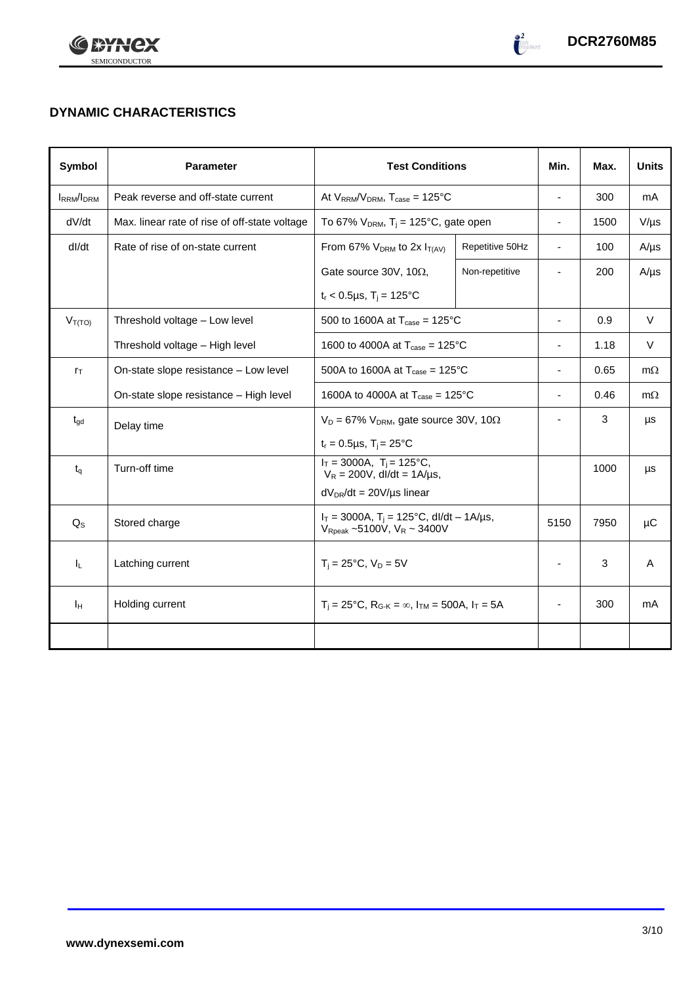



## **DYNAMIC CHARACTERISTICS**

| Symbol            | <b>Parameter</b>                              | <b>Test Conditions</b>                                                                            |                 | Min.                     | Max. | <b>Units</b> |
|-------------------|-----------------------------------------------|---------------------------------------------------------------------------------------------------|-----------------|--------------------------|------|--------------|
| <b>IRRM</b> /IDRM | Peak reverse and off-state current            | At $V_{RRM}/V_{DRM}$ , $T_{case} = 125^{\circ}C$                                                  |                 | $\overline{\phantom{a}}$ | 300  | mA           |
| dV/dt             | Max. linear rate of rise of off-state voltage | To 67% $V_{DRM}$ , T <sub>i</sub> = 125°C, gate open                                              |                 | $\overline{\phantom{a}}$ | 1500 | $V/\mu s$    |
| dl/dt             | Rate of rise of on-state current              | From 67% $V_{DRM}$ to 2x $I_{T(AV)}$                                                              | Repetitive 50Hz | ä,                       | 100  | $A/\mu s$    |
|                   |                                               | Gate source 30V, 10 $\Omega$ ,                                                                    | Non-repetitive  | $\blacksquare$           | 200  | $A/\mu s$    |
|                   |                                               | $t_r$ < 0.5µs, T <sub>i</sub> = 125°C                                                             |                 |                          |      |              |
| $V_{T(TO)}$       | Threshold voltage - Low level                 | 500 to 1600A at $T_{\text{case}} = 125^{\circ}$ C                                                 |                 | $\overline{\phantom{a}}$ | 0.9  | $\vee$       |
|                   | Threshold voltage - High level                | 1600 to 4000A at $T_{\text{case}} = 125^{\circ}C$                                                 |                 | -                        | 1.18 | V            |
| $r_{\text{T}}$    | On-state slope resistance - Low level         | 500A to 1600A at $T_{\text{case}} = 125^{\circ}C$                                                 |                 | ä,                       | 0.65 | $m\Omega$    |
|                   | On-state slope resistance - High level        | 1600A to 4000A at $T_{\text{case}} = 125^{\circ}$ C                                               |                 |                          | 0.46 | $m\Omega$    |
| $t_{gd}$          | Delay time                                    | $V_D = 67\%$ V <sub>DRM</sub> , gate source 30V, 10 $\Omega$                                      |                 | ٠                        | 3    | μs           |
|                   |                                               | $t_r = 0.5 \mu s$ , $T_i = 25^{\circ}C$                                                           |                 |                          |      |              |
| $t_{q}$           | Turn-off time                                 | $I_T = 3000A$ , $T_i = 125^{\circ}C$ ,<br>$V_R = 200V$ , dl/dt = 1A/µs,                           |                 |                          | 1000 | $\mu s$      |
|                   |                                               | $dV_{DR}/dt = 20V/\mu s$ linear                                                                   |                 |                          |      |              |
| $Q_{\rm S}$       | Stored charge                                 | $I_T = 3000A$ , $T_i = 125^{\circ}C$ , dl/dt - 1A/µs,<br>$V_{\text{Rpeak}}$ ~5100V, $V_R$ ~ 3400V |                 | 5150                     | 7950 | μC           |
| h.                | Latching current                              | $T_i = 25^{\circ}C$ , $V_D = 5V$                                                                  |                 | $\blacksquare$           | 3    | A            |
| Īн                | Holding current                               | $T_i = 25^{\circ}C$ , $R_{G-K} = \infty$ , $I_{TM} = 500A$ , $I_T = 5A$                           |                 |                          | 300  | mA           |
|                   |                                               |                                                                                                   |                 |                          |      |              |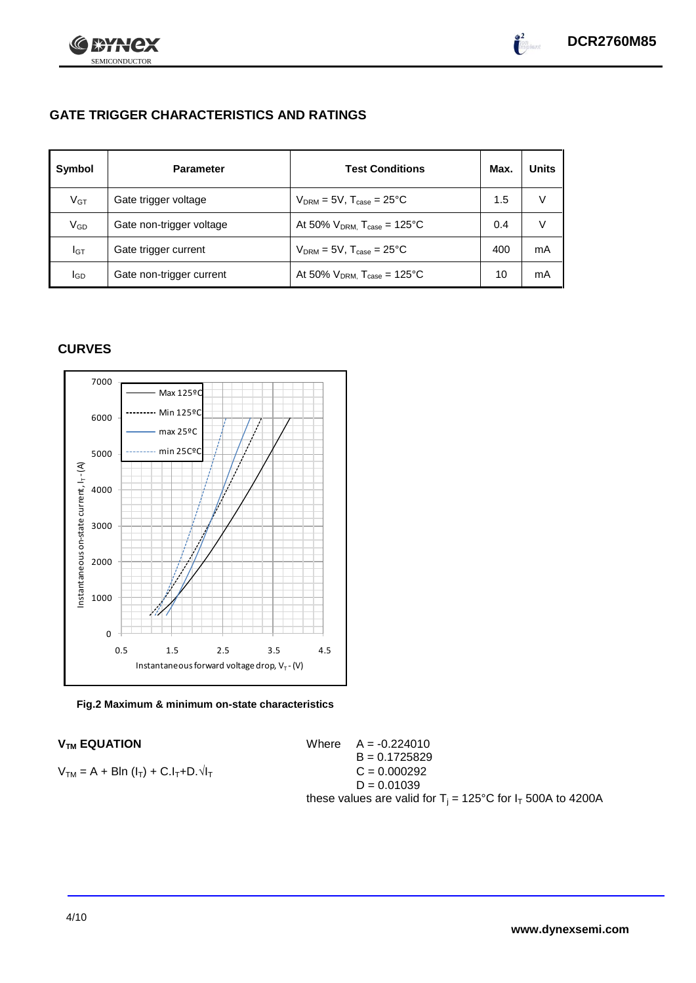



## **GATE TRIGGER CHARACTERISTICS AND RATINGS**

| Symbol          | <b>Test Conditions</b><br><b>Parameter</b> |                                              | Max. | <b>Units</b> |
|-----------------|--------------------------------------------|----------------------------------------------|------|--------------|
| V <sub>GT</sub> | Gate trigger voltage                       | $V_{DRM} = 5V$ , $T_{case} = 25^{\circ}C$    | 1.5  | V            |
| V <sub>GD</sub> | Gate non-trigger voltage                   | At 50% $V_{DRM}$ , $T_{case} = 125^{\circ}C$ | 0.4  | V            |
| Iст             | Gate trigger current                       | $V_{DRM} = 5V$ , $T_{case} = 25^{\circ}C$    | 400  | mA           |
| lgp             | Gate non-trigger current                   | At 50% $V_{DRM}$ , $T_{case} = 125^{\circ}C$ | 10   | mA           |

#### **CURVES**



**Fig.2 Maximum & minimum on-state characteristics**

 $V_{TM}$  **EQUATION** Where  $A = -0.224010$  $B = 0.1725829$  $V_{TM} = A + Bln (I_T) + C.I_T + D.\sqrt{I_T}$  C = 0.000292  $D = 0.01039$ these values are valid for  $T_i = 125^{\circ}C$  for  $I_T$  500A to 4200A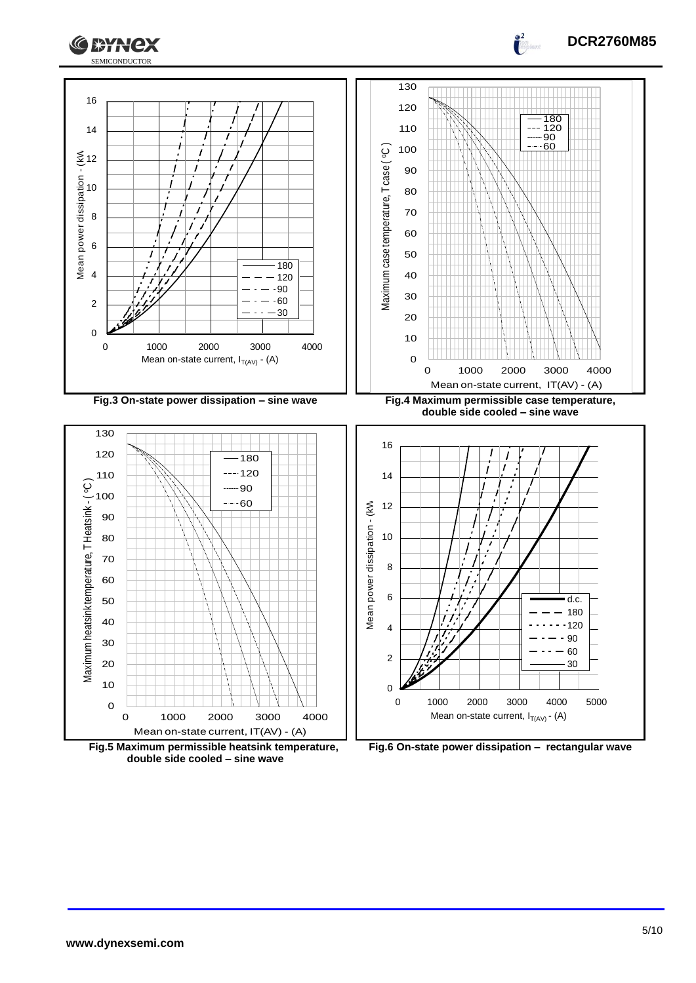





**Fig.5 Maximum permissible heatsink temperature, double side cooled – sine wave**

**Fig.6 On-state power dissipation – rectangular wave**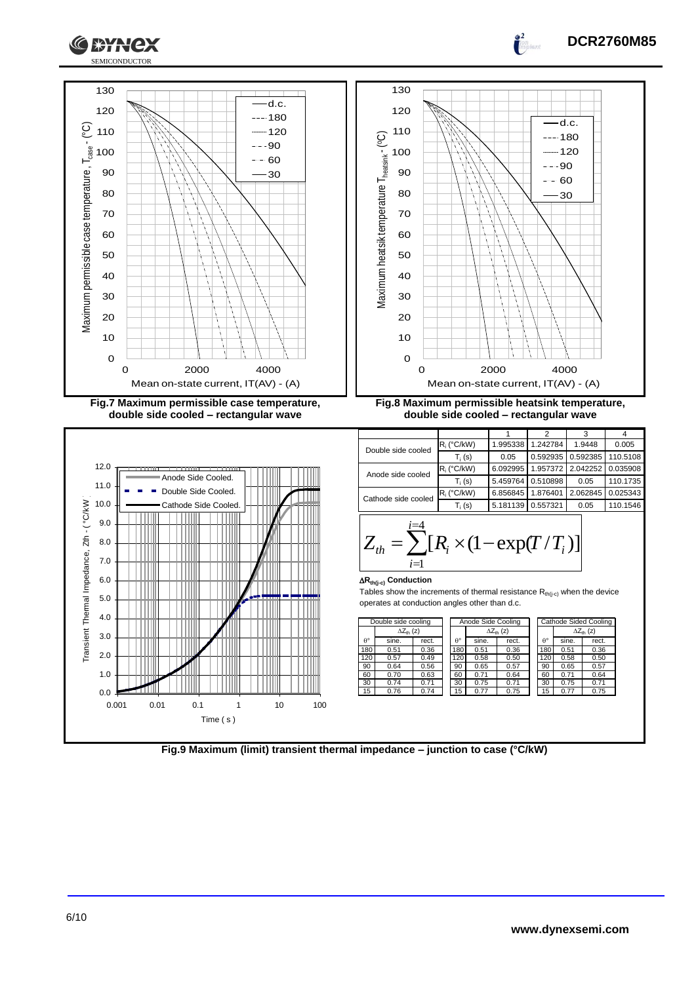

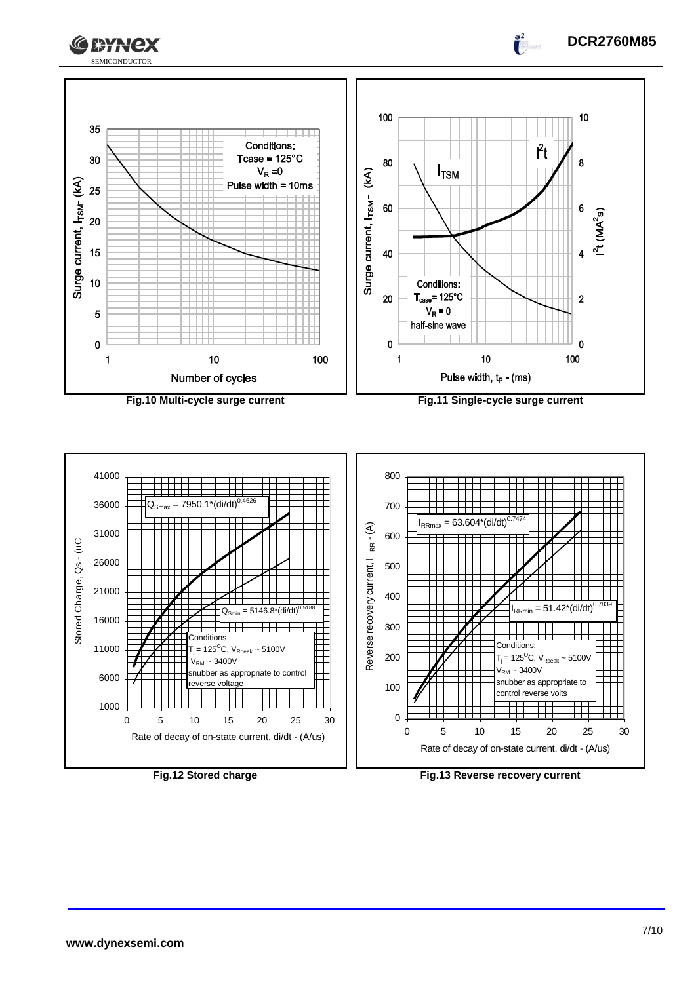



 $\frac{2}{\pi}$ 



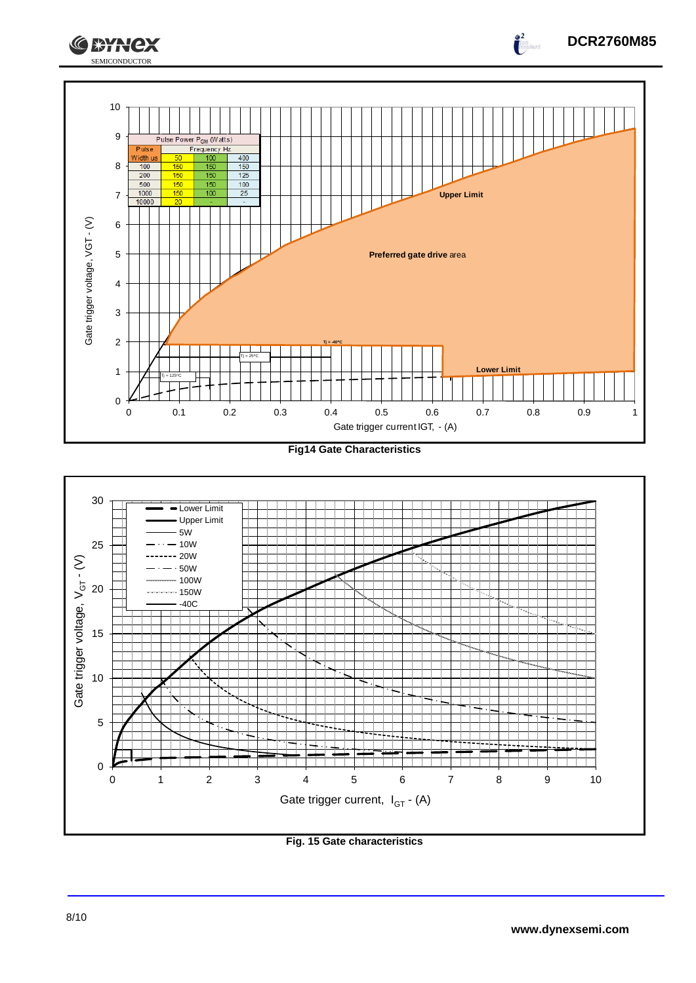



#### **Fig. 15 Gate characteristics**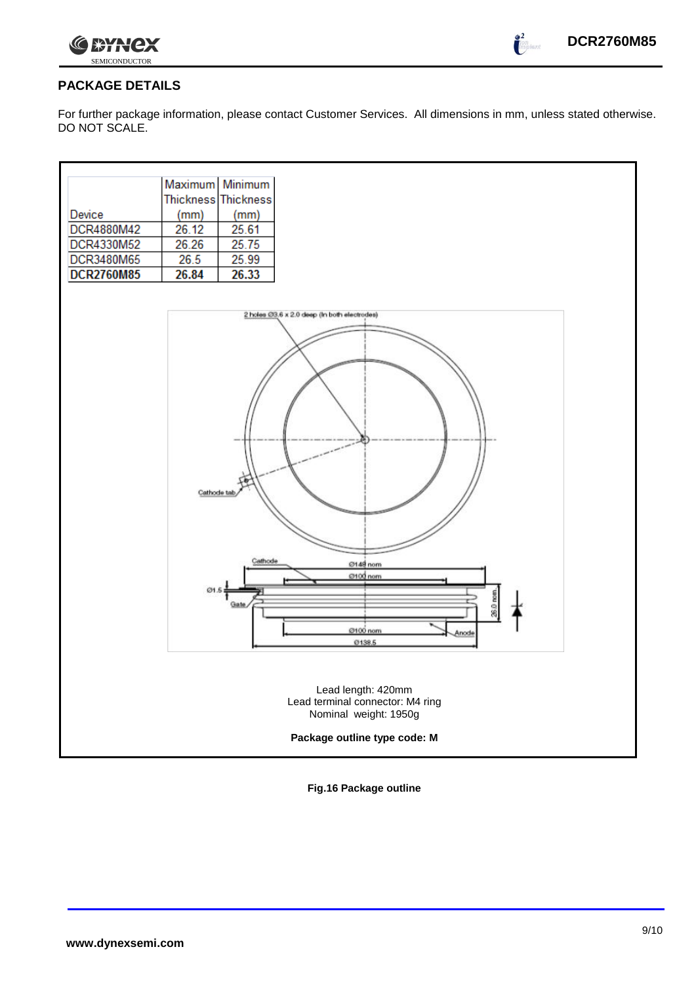



#### **PACKAGE DETAILS**

For further package information, please contact Customer Services. All dimensions in mm, unless stated otherwise. DO NOT SCALE.



**Fig.16 Package outline**